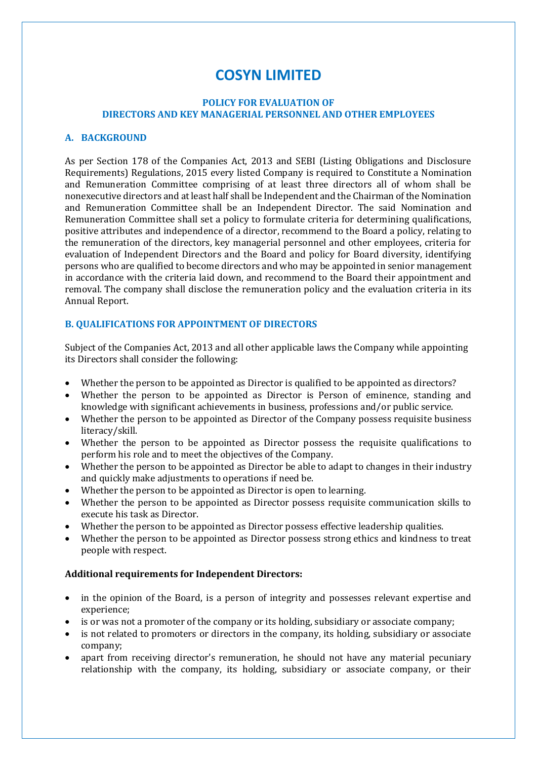# **COSYN LIMITED**

## **POLICY FOR EVALUATION OF DIRECTORS AND KEY MANAGERIAL PERSONNEL AND OTHER EMPLOYEES**

## **A. BACKGROUND**

As per Section 178 of the Companies Act, 2013 and SEBI (Listing Obligations and Disclosure Requirements) Regulations, 2015 every listed Company is required to Constitute a Nomination and Remuneration Committee comprising of at least three directors all of whom shall be nonexecutive directors and at least half shall be Independent and the Chairman of the Nomination and Remuneration Committee shall be an Independent Director. The said Nomination and Remuneration Committee shall set a policy to formulate criteria for determining qualifications, positive attributes and independence of a director, recommend to the Board a policy, relating to the remuneration of the directors, key managerial personnel and other employees, criteria for evaluation of Independent Directors and the Board and policy for Board diversity, identifying persons who are qualified to become directors and who may be appointed in senior management in accordance with the criteria laid down, and recommend to the Board their appointment and removal. The company shall disclose the remuneration policy and the evaluation criteria in its Annual Report.

# **B. QUALIFICATIONS FOR APPOINTMENT OF DIRECTORS**

Subject of the Companies Act, 2013 and all other applicable laws the Company while appointing its Directors shall consider the following:

- Whether the person to be appointed as Director is qualified to be appointed as directors?
- Whether the person to be appointed as Director is Person of eminence, standing and knowledge with significant achievements in business, professions and/or public service.
- Whether the person to be appointed as Director of the Company possess requisite business literacy/skill.
- Whether the person to be appointed as Director possess the requisite qualifications to perform his role and to meet the objectives of the Company.
- Whether the person to be appointed as Director be able to adapt to changes in their industry and quickly make adjustments to operations if need be.
- Whether the person to be appointed as Director is open to learning.
- Whether the person to be appointed as Director possess requisite communication skills to execute his task as Director.
- Whether the person to be appointed as Director possess effective leadership qualities.
- Whether the person to be appointed as Director possess strong ethics and kindness to treat people with respect.

## **Additional requirements for Independent Directors:**

- in the opinion of the Board, is a person of integrity and possesses relevant expertise and experience;
- is or was not a promoter of the company or its holding, subsidiary or associate company;
- is not related to promoters or directors in the company, its holding, subsidiary or associate company;
- apart from receiving director's remuneration, he should not have any material pecuniary relationship with the company, its holding, subsidiary or associate company, or their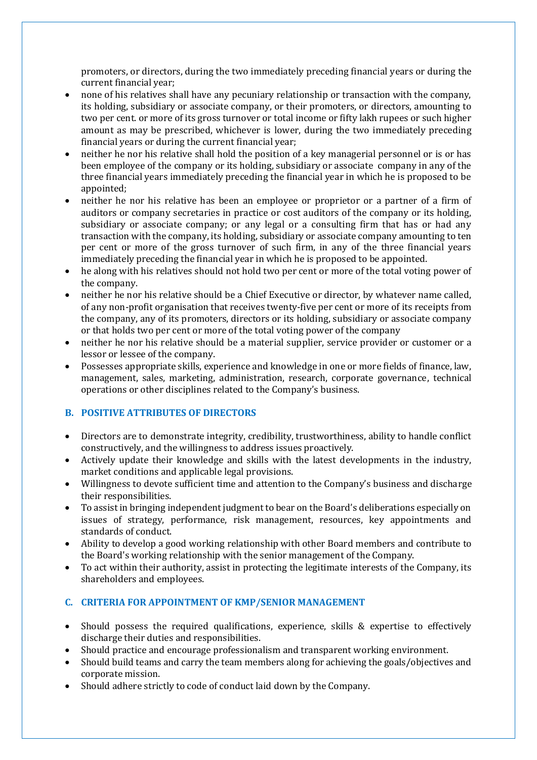promoters, or directors, during the two immediately preceding financial years or during the current financial year;

- none of his relatives shall have any pecuniary relationship or transaction with the company, its holding, subsidiary or associate company, or their promoters, or directors, amounting to two per cent. or more of its gross turnover or total income or fifty lakh rupees or such higher amount as may be prescribed, whichever is lower, during the two immediately preceding financial years or during the current financial year;
- neither he nor his relative shall hold the position of a key managerial personnel or is or has been employee of the company or its holding, subsidiary or associate company in any of the three financial years immediately preceding the financial year in which he is proposed to be appointed;
- neither he nor his relative has been an employee or proprietor or a partner of a firm of auditors or company secretaries in practice or cost auditors of the company or its holding, subsidiary or associate company; or any legal or a consulting firm that has or had any transaction with the company, its holding, subsidiary or associate company amounting to ten per cent or more of the gross turnover of such firm, in any of the three financial years immediately preceding the financial year in which he is proposed to be appointed.
- he along with his relatives should not hold two per cent or more of the total voting power of the company.
- neither he nor his relative should be a Chief Executive or director, by whatever name called, of any non-profit organisation that receives twenty-five per cent or more of its receipts from the company, any of its promoters, directors or its holding, subsidiary or associate company or that holds two per cent or more of the total voting power of the company
- neither he nor his relative should be a material supplier, service provider or customer or a lessor or lessee of the company.
- Possesses appropriate skills, experience and knowledge in one or more fields of finance, law, management, sales, marketing, administration, research, corporate governance, technical operations or other disciplines related to the Company's business.

# **B. POSITIVE ATTRIBUTES OF DIRECTORS**

- Directors are to demonstrate integrity, credibility, trustworthiness, ability to handle conflict constructively, and the willingness to address issues proactively.
- Actively update their knowledge and skills with the latest developments in the industry, market conditions and applicable legal provisions.
- Willingness to devote sufficient time and attention to the Company's business and discharge their responsibilities.
- To assist in bringing independent judgment to bear on the Board's deliberations especially on issues of strategy, performance, risk management, resources, key appointments and standards of conduct.
- Ability to develop a good working relationship with other Board members and contribute to the Board's working relationship with the senior management of the Company.
- To act within their authority, assist in protecting the legitimate interests of the Company, its shareholders and employees.

# **C. CRITERIA FOR APPOINTMENT OF KMP/SENIOR MANAGEMENT**

- Should possess the required qualifications, experience, skills & expertise to effectively discharge their duties and responsibilities.
- Should practice and encourage professionalism and transparent working environment.
- Should build teams and carry the team members along for achieving the goals/objectives and corporate mission.
- Should adhere strictly to code of conduct laid down by the Company.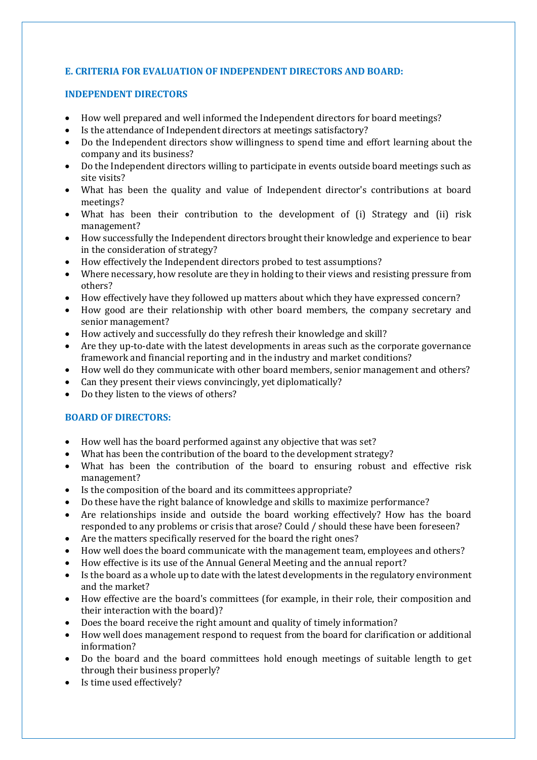# **E. CRITERIA FOR EVALUATION OF INDEPENDENT DIRECTORS AND BOARD:**

## **INDEPENDENT DIRECTORS**

- How well prepared and well informed the Independent directors for board meetings?
- Is the attendance of Independent directors at meetings satisfactory?
- Do the Independent directors show willingness to spend time and effort learning about the company and its business?
- Do the Independent directors willing to participate in events outside board meetings such as site visits?
- What has been the quality and value of Independent director's contributions at board meetings?
- What has been their contribution to the development of (i) Strategy and (ii) risk management?
- How successfully the Independent directors brought their knowledge and experience to bear in the consideration of strategy?
- How effectively the Independent directors probed to test assumptions?
- Where necessary, how resolute are they in holding to their views and resisting pressure from others?
- How effectively have they followed up matters about which they have expressed concern?
- How good are their relationship with other board members, the company secretary and senior management?
- How actively and successfully do they refresh their knowledge and skill?
- Are they up-to-date with the latest developments in areas such as the corporate governance framework and financial reporting and in the industry and market conditions?
- How well do they communicate with other board members, senior management and others?
- Can they present their views convincingly, yet diplomatically?
- Do they listen to the views of others?

# **BOARD OF DIRECTORS:**

- How well has the board performed against any objective that was set?
- What has been the contribution of the board to the development strategy?
- What has been the contribution of the board to ensuring robust and effective risk management?
- Is the composition of the board and its committees appropriate?
- Do these have the right balance of knowledge and skills to maximize performance?
- Are relationships inside and outside the board working effectively? How has the board responded to any problems or crisis that arose? Could / should these have been foreseen?
- Are the matters specifically reserved for the board the right ones?
- How well does the board communicate with the management team, employees and others?
- How effective is its use of the Annual General Meeting and the annual report?
- Is the board as a whole up to date with the latest developments in the regulatory environment and the market?
- How effective are the board's committees (for example, in their role, their composition and their interaction with the board)?
- Does the board receive the right amount and quality of timely information?
- How well does management respond to request from the board for clarification or additional information?
- Do the board and the board committees hold enough meetings of suitable length to get through their business properly?
- Is time used effectively?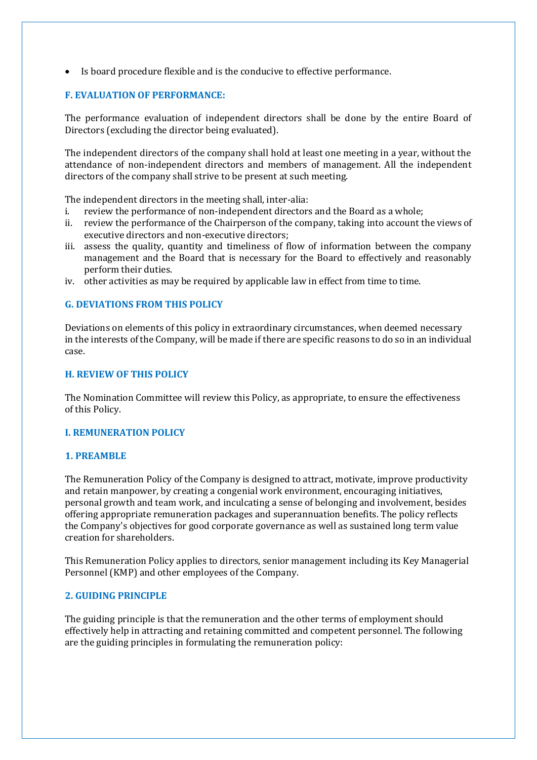Is board procedure flexible and is the conducive to effective performance.

# **F. EVALUATION OF PERFORMANCE:**

The performance evaluation of independent directors shall be done by the entire Board of Directors (excluding the director being evaluated).

The independent directors of the company shall hold at least one meeting in a year, without the attendance of non-independent directors and members of management. All the independent directors of the company shall strive to be present at such meeting.

The independent directors in the meeting shall, inter-alia:

- i. review the performance of non-independent directors and the Board as a whole;
- ii. review the performance of the Chairperson of the company, taking into account the views of executive directors and non-executive directors;
- iii. assess the quality, quantity and timeliness of flow of information between the company management and the Board that is necessary for the Board to effectively and reasonably perform their duties.
- iv. other activities as may be required by applicable law in effect from time to time.

## **G. DEVIATIONS FROM THIS POLICY**

Deviations on elements of this policy in extraordinary circumstances, when deemed necessary in the interests of the Company, will be made if there are specific reasons to do so in an individual case.

#### **H. REVIEW OF THIS POLICY**

The Nomination Committee will review this Policy, as appropriate, to ensure the effectiveness of this Policy.

## **I. REMUNERATION POLICY**

## **1. PREAMBLE**

The Remuneration Policy of the Company is designed to attract, motivate, improve productivity and retain manpower, by creating a congenial work environment, encouraging initiatives, personal growth and team work, and inculcating a sense of belonging and involvement, besides offering appropriate remuneration packages and superannuation benefits. The policy reflects the Company's objectives for good corporate governance as well as sustained long term value creation for shareholders.

This Remuneration Policy applies to directors, senior management including its Key Managerial Personnel (KMP) and other employees of the Company.

#### **2. GUIDING PRINCIPLE**

The guiding principle is that the remuneration and the other terms of employment should effectively help in attracting and retaining committed and competent personnel. The following are the guiding principles in formulating the remuneration policy: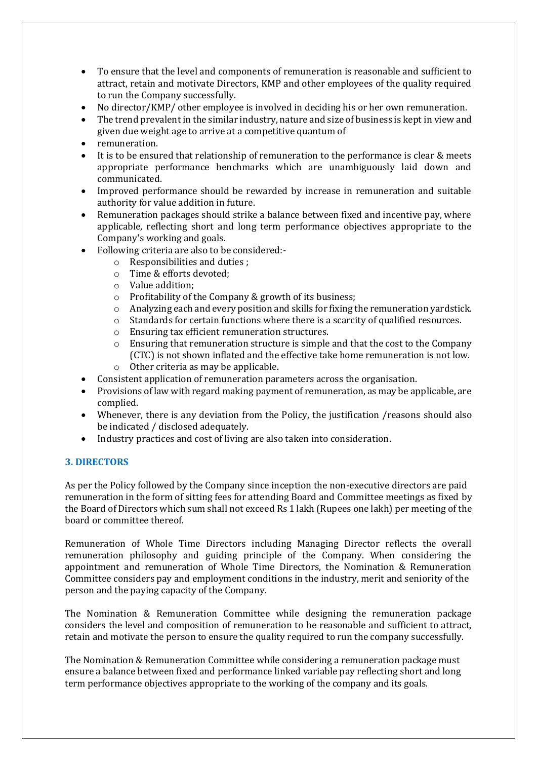- To ensure that the level and components of remuneration is reasonable and sufficient to attract, retain and motivate Directors, KMP and other employees of the quality required to run the Company successfully.
- No director/KMP/ other employee is involved in deciding his or her own remuneration.
- The trend prevalent in the similar industry, nature and size of business is kept in view and given due weight age to arrive at a competitive quantum of
- remuneration.
- It is to be ensured that relationship of remuneration to the performance is clear & meets appropriate performance benchmarks which are unambiguously laid down and communicated.
- Improved performance should be rewarded by increase in remuneration and suitable authority for value addition in future.
- Remuneration packages should strike a balance between fixed and incentive pay, where applicable, reflecting short and long term performance objectives appropriate to the Company's working and goals.
- Following criteria are also to be considered:
	- o Responsibilities and duties ;
	- o Time & efforts devoted;
	- o Value addition;
	- o Profitability of the Company & growth of its business;
	- $\circ$  Analyzing each and every position and skills for fixing the remuneration vardstick.
	- o Standards for certain functions where there is a scarcity of qualified resources.
	- o Ensuring tax efficient remuneration structures.
	- $\circ$  Ensuring that remuneration structure is simple and that the cost to the Company (CTC) is not shown inflated and the effective take home remuneration is not low. o Other criteria as may be applicable.
- Consistent application of remuneration parameters across the organisation.
- Provisions of law with regard making payment of remuneration, as may be applicable, are complied.
- Whenever, there is any deviation from the Policy, the justification /reasons should also be indicated / disclosed adequately.
- Industry practices and cost of living are also taken into consideration.

# **3. DIRECTORS**

As per the Policy followed by the Company since inception the non-executive directors are paid remuneration in the form of sitting fees for attending Board and Committee meetings as fixed by the Board of Directors which sum shall not exceed Rs 1 lakh (Rupees one lakh) per meeting of the board or committee thereof.

Remuneration of Whole Time Directors including Managing Director reflects the overall remuneration philosophy and guiding principle of the Company. When considering the appointment and remuneration of Whole Time Directors, the Nomination & Remuneration Committee considers pay and employment conditions in the industry, merit and seniority of the person and the paying capacity of the Company.

The Nomination & Remuneration Committee while designing the remuneration package considers the level and composition of remuneration to be reasonable and sufficient to attract, retain and motivate the person to ensure the quality required to run the company successfully.

The Nomination & Remuneration Committee while considering a remuneration package must ensure a balance between fixed and performance linked variable pay reflecting short and long term performance objectives appropriate to the working of the company and its goals.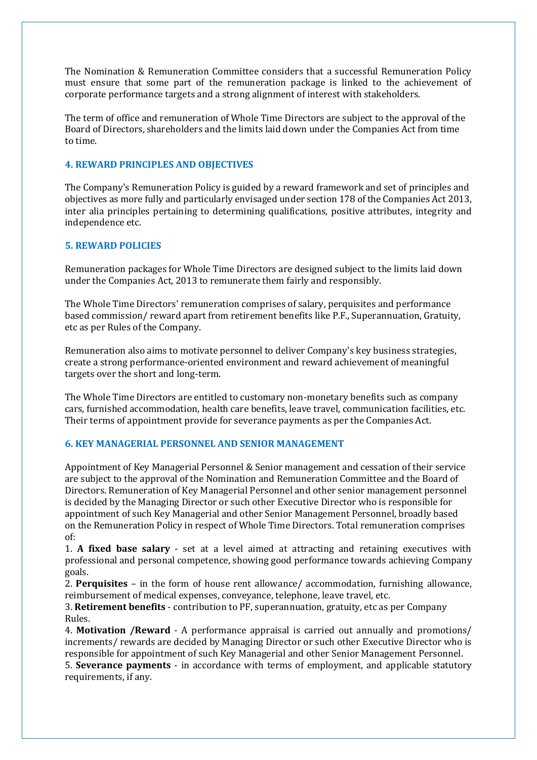The Nomination & Remuneration Committee considers that a successful Remuneration Policy must ensure that some part of the remuneration package is linked to the achievement of corporate performance targets and a strong alignment of interest with stakeholders.

The term of office and remuneration of Whole Time Directors are subject to the approval of the Board of Directors, shareholders and the limits laid down under the Companies Act from time to time.

## **4. REWARD PRINCIPLES AND OBJECTIVES**

The Company's Remuneration Policy is guided by a reward framework and set of principles and objectives as more fully and particularly envisaged under section 178 of the Companies Act 2013, inter alia principles pertaining to determining qualifications, positive attributes, integrity and independence etc.

# **5. REWARD POLICIES**

Remuneration packages for Whole Time Directors are designed subject to the limits laid down under the Companies Act, 2013 to remunerate them fairly and responsibly.

The Whole Time Directors' remuneration comprises of salary, perquisites and performance based commission/ reward apart from retirement benefits like P.F., Superannuation, Gratuity, etc as per Rules of the Company.

Remuneration also aims to motivate personnel to deliver Company's key business strategies, create a strong performance-oriented environment and reward achievement of meaningful targets over the short and long-term.

The Whole Time Directors are entitled to customary non-monetary benefits such as company cars, furnished accommodation, health care benefits, leave travel, communication facilities, etc. Their terms of appointment provide for severance payments as per the Companies Act.

# **6. KEY MANAGERIAL PERSONNEL AND SENIOR MANAGEMENT**

Appointment of Key Managerial Personnel & Senior management and cessation of their service are subject to the approval of the Nomination and Remuneration Committee and the Board of Directors. Remuneration of Key Managerial Personnel and other senior management personnel is decided by the Managing Director or such other Executive Director who is responsible for appointment of such Key Managerial and other Senior Management Personnel, broadly based on the Remuneration Policy in respect of Whole Time Directors. Total remuneration comprises of:

1. **A fixed base salary** - set at a level aimed at attracting and retaining executives with professional and personal competence, showing good performance towards achieving Company goals.

2. **Perquisites** – in the form of house rent allowance/ accommodation, furnishing allowance, reimbursement of medical expenses, conveyance, telephone, leave travel, etc.

3. **Retirement benefits** - contribution to PF, superannuation, gratuity, etc as per Company Rules.

4. **Motivation /Reward** - A performance appraisal is carried out annually and promotions/ increments/ rewards are decided by Managing Director or such other Executive Director who is responsible for appointment of such Key Managerial and other Senior Management Personnel.

5. **Severance payments** - in accordance with terms of employment, and applicable statutory requirements, if any.